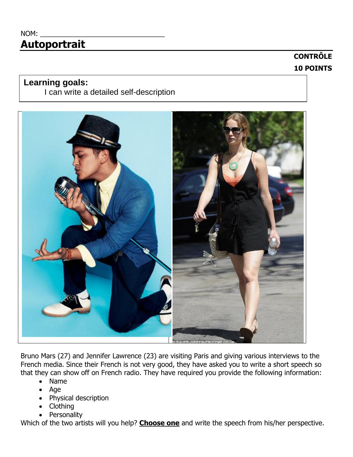# $NOM:$ **Autoportrait**

# **CONTRÔLE 10 POINTS**

### **Learning goals:**

I can write a detailed self-description



Bruno Mars (27) and Jennifer Lawrence (23) are visiting Paris and giving various interviews to the French media. Since their French is not very good, they have asked you to write a short speech so that they can show off on French radio. They have required you provide the following information:

- Name
- Age
- Physical description
- Clothing
- Personality

Which of the two artists will you help? **Choose one** and write the speech from his/her perspective.